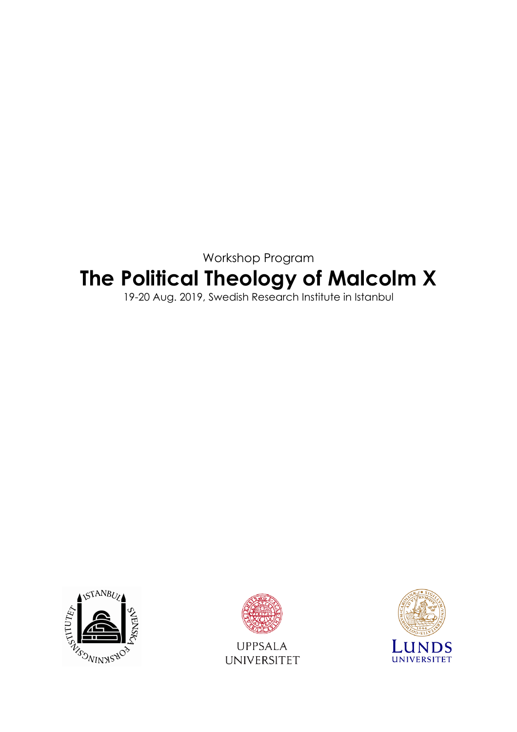Workshop Program

# **The Political Theology of Malcolm X**

19-20 Aug. 2019, Swedish Research Institute in Istanbul





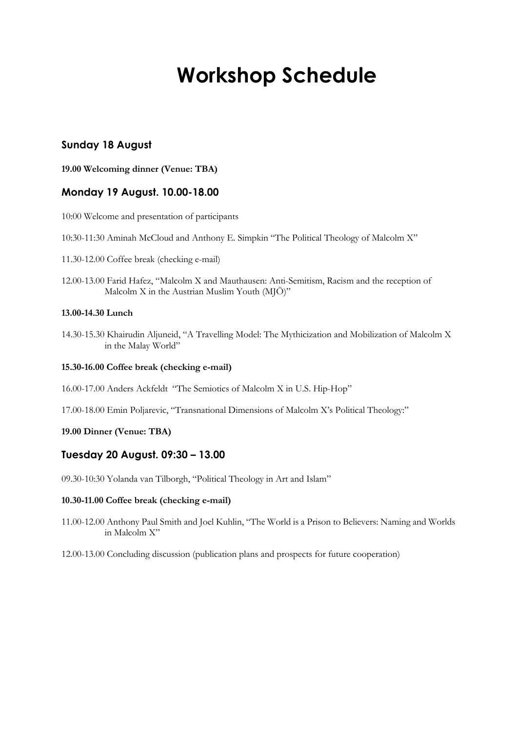## **Workshop Schedule**

## **Sunday 18 August**

**19.00 Welcoming dinner (Venue: TBA)**

## **Monday 19 August. 10.00-18.00**

10:00 Welcome and presentation of participants

10:30-11:30 Aminah McCloud and Anthony E. Simpkin "The Political Theology of Malcolm X"

- 11.30-12.00 Coffee break (checking e-mail)
- 12.00-13.00 Farid Hafez, "Malcolm X and Mauthausen: Anti-Semitism, Racism and the reception of Malcolm X in the Austrian Muslim Youth (MJÖ)"

#### **13.00-14.30 Lunch**

14.30-15.30 Khairudin Aljuneid, "A Travelling Model: The Mythicization and Mobilization of Malcolm X in the Malay World"

#### **15.30-16.00 Coffee break (checking e-mail)**

16.00-17.00 Anders Ackfeldt, "The Semiotics of Malcolm X in U.S. Hip-Hop"

17.00-18.00 Emin Poljarevic, "Transnational Dimensions of Malcolm X's Political Theology:"

#### **19.00 Dinner (Venue: TBA)**

#### **Tuesday 20 August. 09:30 – 13.00**

09.30-10:30 Yolanda van Tilborgh, "Political Theology in Art and Islam"

#### **10.30-11.00 Coffee break (checking e-mail)**

11.00-12.00 Anthony Paul Smith and Joel Kuhlin, "The World is a Prison to Believers: Naming and Worlds in Malcolm X"

12.00-13.00 Concluding discussion (publication plans and prospects for future cooperation)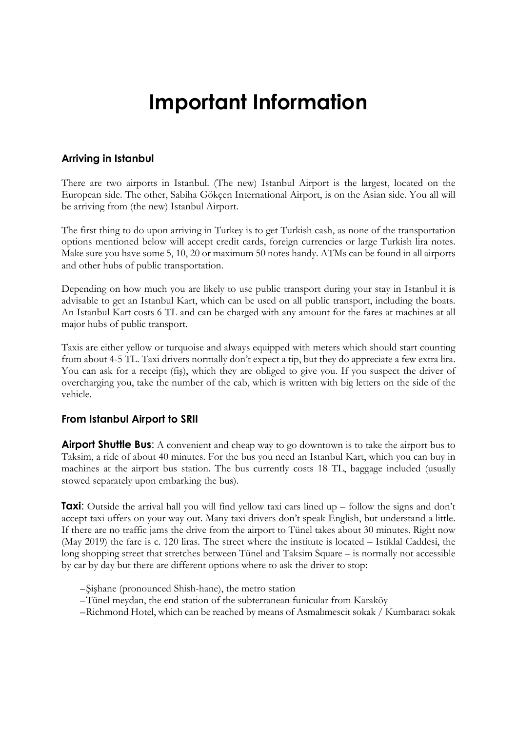## **Important Information**

## **Arriving in Istanbul**

There are two airports in Istanbul. (The new) Istanbul Airport is the largest, located on the European side. The other, Sabiha Gökçen International Airport, is on the Asian side. You all will be arriving from (the new) Istanbul Airport.

The first thing to do upon arriving in Turkey is to get Turkish cash, as none of the transportation options mentioned below will accept credit cards, foreign currencies or large Turkish lira notes. Make sure you have some 5, 10, 20 or maximum 50 notes handy. ATMs can be found in all airports and other hubs of public transportation.

Depending on how much you are likely to use public transport during your stay in Istanbul it is advisable to get an Istanbul Kart, which can be used on all public transport, including the boats. An Istanbul Kart costs 6 TL and can be charged with any amount for the fares at machines at all major hubs of public transport.

Taxis are either yellow or turquoise and always equipped with meters which should start counting from about 4-5 TL. Taxi drivers normally don't expect a tip, but they do appreciate a few extra lira. You can ask for a receipt (fiş), which they are obliged to give you. If you suspect the driver of overcharging you, take the number of the cab, which is written with big letters on the side of the vehicle.

### **From Istanbul Airport to SRII**

**Airport Shuttle Bus:** A convenient and cheap way to go downtown is to take the airport bus to Taksim, a ride of about 40 minutes. For the bus you need an Istanbul Kart, which you can buy in machines at the airport bus station. The bus currently costs 18 TL, baggage included (usually stowed separately upon embarking the bus).

**Taxi**: Outside the arrival hall you will find yellow taxi cars lined up – follow the signs and don't accept taxi offers on your way out. Many taxi drivers don't speak English, but understand a little. If there are no traffic jams the drive from the airport to Tünel takes about 30 minutes. Right now (May 2019) the fare is c. 120 liras. The street where the institute is located – Istiklal Caddesi, the long shopping street that stretches between Tünel and Taksim Square – is normally not accessible by car by day but there are different options where to ask the driver to stop:

- –Şişhane (pronounced Shish-hane), the metro station
- –Tünel meydan, the end station of the subterranean funicular from Karaköy
- –Richmond Hotel, which can be reached by means of Asmalımescit sokak / Kumbaracı sokak